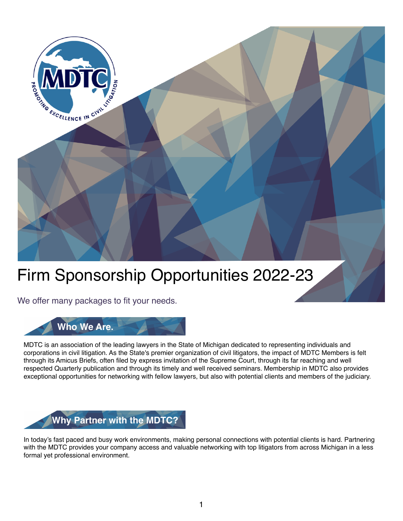

# Firm Sponsorship Opportunities 2022-23

We offer many packages to fit your needs.



MDTC is an association of the leading lawyers in the State of Michigan dedicated to representing individuals and corporations in civil litigation. As the State's premier organization of civil litigators, the impact of MDTC Members is felt through its Amicus Briefs, often filed by express invitation of the Supreme Court, through its far reaching and well respected Quarterly publication and through its timely and well received seminars. Membership in MDTC also provides exceptional opportunities for networking with fellow lawyers, but also with potential clients and members of the judiciary.



In today's fast paced and busy work environments, making personal connections with potential clients is hard. Partnering with the MDTC provides your company access and valuable networking with top litigators from across Michigan in a less formal yet professional environment.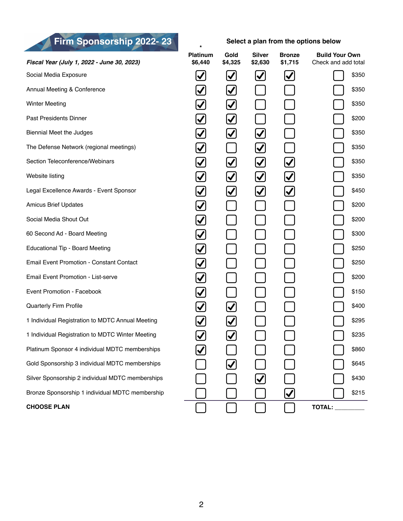*Fiscal Year (July 1, 2022 - June 30, 2023)* **\* Platinum \$6,440 Gold \$4,325 Silver \$2,630 Bronze \$1,715 Build Your Own** Check and add total Social Media Exposure  $\begin{bmatrix} \checkmark \end{bmatrix}$   $\begin{bmatrix} \checkmark \end{bmatrix}$   $\begin{bmatrix} \checkmark \end{bmatrix}$   $\begin{bmatrix} \checkmark \end{bmatrix}$   $\begin{bmatrix} \checkmark \end{bmatrix}$  \$350 Annual Meeting & Conference  $\bigotimes$   $\bigotimes$   $\bigotimes$   $\bigoplus$  5350 Winter Meeting<br>
Biennial Meet the Judges<br>
The Defense Network (regional meetings)<br>
Section Teleconference/Webinars<br>
Vebsite listing<br>
Legal Excellence Awards - Event Sponsor<br>
Amicus Brief Updates<br>
Social Media Shout Out<br>
Ve Past Presidents Dinner **by Executive Contract Contract Contract Contract Contract Contract Contract Contract Contract Contract Contract Contract Contract Contract Contract Contract Contract Contract Contract Contract Contr** Biennial Meet the Judges  $\bigotimes$   $\bigotimes$   $\bigotimes$   $\bigotimes$  \$350 The Defense Network (regional meetings)  $\vert \downarrow \vert$  | | | | | | | | | | | \$350 Section Teleconference/Webinars \$350 Website listing  $|\mathcal{J}|$   $|\mathcal{J}|$   $|\mathcal{J}|$   $|\mathcal{J}|$   $|\mathcal{J}|$   $|\mathcal{J}|$   $|$   $|$   $|$   $|$   $|$   $|$   $|$  5350 Legal Excellence Awards - Event Sponsor **1990 - 1990 - 1990 - 1990 - 1990 - 1990 - 1990 - 1990 - 1990 - 1990 - 1** Amicus Brief Updates **1980 1990 1990 1991 <b>1991 1991 1991 1991 1991 1991 1991 1991 1992 1991** Social Media Shout Out **1990 Contract Contract Contract Contract Contract Contract Contract Contract Contract Contract Contract Contract Contract Contract Contract Contract Contract Contract Contract Contract Contract Cont** 60 Second Ad - Board Meeting<br>
Educational Tip - Board Meeting<br>
Email Event Promotion - Constant Contact<br>
Email Event Promotion - List-serve<br>
Event Promotion - Facebook<br>
Quarterly Firm Profile<br>
1 Individual Registration to Educational Tip - Board Meeting **by Equal Tip - Board Meeting by Ariza** Andre Letter **1** 1 1 1 1 1 1 1 1 1 1 1 3250 Email Event Promotion - Constant Contact \$250 Email Event Promotion - List-serve **1990 2000 2000 2000 2000 2000 2000 2000 2000 2000 2000 2000** Event Promotion - Facebook **1990 1991 1991 1991 1991 1991 1992** 1991 1992 1993 1990 1991 1992 1993 1994 1994 199 Quarterly Firm Profile **QUARE ADDED (Separaterly Firm Profile** S400<br>
1 Individual Registration to MDTC Winter Meeting (SQUARE 295 1 Individual Registration to MDTC Annual Meeting **1** 1 Individual Registration to MDTC Winter Meeting \$235 Platinum Sponsor 4 individual MDTC memberships  $\bigcup$   $\bigcup$   $\bigcup$   $\bigcup$   $\bigcup$   $\bigcup$   $\bigcup$   $\bigcup$   $\bigcup$   $\bigcup$   $\bigcup$   $\bigcup$  \$860 Gold Sponsorship 3 individual MDTC memberships **beider and the set of the set of the Second** S645 Silver Sponsorship 2 individual MDTC memberships **\$430** Bronze Sponsorship 1 individual MDTC membership **Fig. Example 1 i i i i j i i i 3**215 **CHOOSE PLAN TOTAL: Firm Sponsorship 2022-23** Select a plan from the options below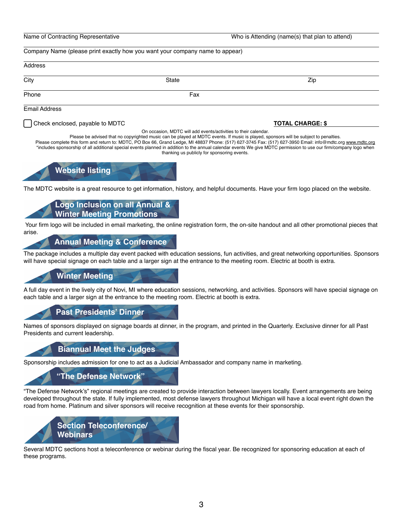Name of Contracting Representative Who is Attending (name(s) that plan to attend)

Company Name (please print exactly how you want your company name to appear)

## Address City State Zip Phone **Fax** Email Address

On occasion, MDTC will add events/activities to their calendar.

Please be advised that no copyrighted music can be played at MDTC events. If music is played, sponsors will be subject to penalties. Please complete this form and return to: MDTC, PO Box 66, Grand Ledge, MI 48837 Phone: (517) 627-3745 Fax: (517) 627-3950 Email: info@mdtc.org [www.mdtc.org](http://www.mdtc.org)

\*includes sponsorship of all additional special events planned in addition to the annual calendar events We give MDTC permission to use our firm/company logo when thanking us publicly for sponsoring events.



The MDTC website is a great resource to get information, history, and helpful documents. Have your firm logo placed on the website.

#### **Logo Inclusion on all Annual & Winter Meeting Promotions**

 Your firm logo will be included in email marketing, the online registration form, the on-site handout and all other promotional pieces that arise.

#### **Annual Meeting & Conference**

The package includes a multiple day event packed with education sessions, fun activities, and great networking opportunities. Sponsors will have special signage on each table and a larger sign at the entrance to the meeting room. Electric at booth is extra.

#### **Winter Meeting**

A full day event in the lively city of Novi, MI where education sessions, networking, and activities. Sponsors will have special signage on each table and a larger sign at the entrance to the meeting room. Electric at booth is extra.

#### **Past Presidents' Dinner**

Names of sponsors displayed on signage boards at dinner, in the program, and printed in the Quarterly. Exclusive dinner for all Past Presidents and current leadership.

#### **Biannual Meet the Judges**

Sponsorship includes admission for one to act as a Judicial Ambassador and company name in marketing.

#### **"The Defense Network"**

"The Defense Network's" regional meetings are created to provide interaction between lawyers locally. Event arrangements are being developed throughout the state. If fully implemented, most defense lawyers throughout Michigan will have a local event right down the road from home. Platinum and silver sponsors will receive recognition at these events for their sponsorship.



Several MDTC sections host a teleconference or webinar during the fiscal year. Be recognized for sponsoring education at each of these programs.

#### Check enclosed, payable to MDTC **TOTAL CHARGE: \$**